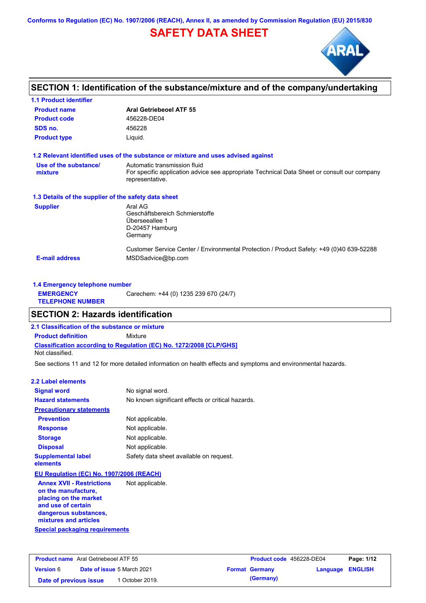**Conforms to Regulation (EC) No. 1907/2006 (REACH), Annex II, as amended by Commission Regulation (EU) 2015/830**

# **SAFETY DATA SHEET**



# **SECTION 1: Identification of the substance/mixture and of the company/undertaking**

| <b>1.1 Product identifier</b>                        |                                                                                                                                                |
|------------------------------------------------------|------------------------------------------------------------------------------------------------------------------------------------------------|
| <b>Product name</b>                                  | <b>Aral Getriebeoel ATF 55</b>                                                                                                                 |
| <b>Product code</b>                                  | 456228-DE04                                                                                                                                    |
| SDS no.                                              | 456228                                                                                                                                         |
| <b>Product type</b>                                  | Liquid.                                                                                                                                        |
|                                                      | 1.2 Relevant identified uses of the substance or mixture and uses advised against                                                              |
| Use of the substance/<br>mixture                     | Automatic transmission fluid<br>For specific application advice see appropriate Technical Data Sheet or consult our company<br>representative. |
| 1.3 Details of the supplier of the safety data sheet |                                                                                                                                                |
| <b>Supplier</b>                                      | Aral AG<br>Geschäftsbereich Schmierstoffe<br>Überseeallee 1<br>D-20457 Hamburg<br>Germany                                                      |
| <b>E-mail address</b>                                | Customer Service Center / Environmental Protection / Product Safety: +49 (0)40 639-52288<br>MSDSadvice@bp.com                                  |

| 1.4 Emergency telephone number              |                                       |  |
|---------------------------------------------|---------------------------------------|--|
| <b>EMERGENCY</b><br><b>TELEPHONE NUMBER</b> | Carechem: +44 (0) 1235 239 670 (24/7) |  |

# **SECTION 2: Hazards identification**

**2.1 Classification of the substance or mixture**

**Classification according to Regulation (EC) No. 1272/2008 [CLP/GHS] Product definition** Mixture

Not classified.

See sections 11 and 12 for more detailed information on health effects and symptoms and environmental hazards.

### **2.2 Label elements**

| <b>Signal word</b>                                         | No signal word.                                   |
|------------------------------------------------------------|---------------------------------------------------|
| <b>Hazard statements</b>                                   | No known significant effects or critical hazards. |
| <b>Precautionary statements</b>                            |                                                   |
| <b>Prevention</b>                                          | Not applicable.                                   |
| <b>Response</b>                                            | Not applicable.                                   |
| <b>Storage</b>                                             | Not applicable.                                   |
| <b>Disposal</b>                                            | Not applicable.                                   |
| <b>Supplemental label</b><br>elements                      | Safety data sheet available on request.           |
| EU Regulation (EC) No. 1907/2006 (REACH)                   |                                                   |
| <b>Annex XVII - Restrictions</b><br>an Alaa naan sadaabsoo | Not applicable.                                   |

**Special packaging requirements on the manufacture, placing on the market and use of certain dangerous substances, mixtures and articles**

**Product name** Aral Getriebeoel ATF 55 **Version** 6 **Product code** 456228-DE04 **Page: 1/12 Date of issue** 5 March 2021 **Format Germany Language ENGLISH Date of previous issue 1 October 2019. (Germany)**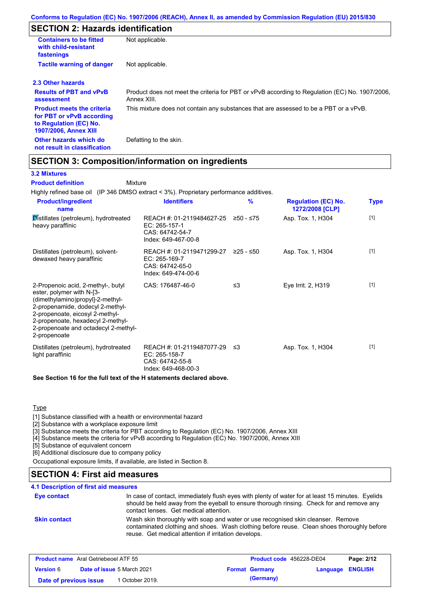# **SECTION 2: Hazards identification**

| <b>Containers to be fitted</b><br>with child-resistant<br>fastenings                                                     | Not applicable.                                                                                               |
|--------------------------------------------------------------------------------------------------------------------------|---------------------------------------------------------------------------------------------------------------|
| <b>Tactile warning of danger</b>                                                                                         | Not applicable.                                                                                               |
| 2.3 Other hazards                                                                                                        |                                                                                                               |
| <b>Results of PBT and vPvB</b><br>assessment                                                                             | Product does not meet the criteria for PBT or vPvB according to Regulation (EC) No. 1907/2006,<br>Annex XIII. |
| <b>Product meets the criteria</b><br>for PBT or vPvB according<br>to Regulation (EC) No.<br><b>1907/2006, Annex XIII</b> | This mixture does not contain any substances that are assessed to be a PBT or a vPvB.                         |
| Other hazards which do<br>not result in classification                                                                   | Defatting to the skin.                                                                                        |

# **SECTION 3: Composition/information on ingredients**

Mixture

## **3.2 Mixtures**

**Product definition**

Highly refined base oil (IP 346 DMSO extract < 3%). Proprietary performance additives.

| <b>Product/ingredient</b><br>name                                                                                                                                                                                                                                       | <b>Identifiers</b>                                                                     | $\frac{9}{6}$ | <b>Regulation (EC) No.</b><br>1272/2008 [CLP] | <b>Type</b> |
|-------------------------------------------------------------------------------------------------------------------------------------------------------------------------------------------------------------------------------------------------------------------------|----------------------------------------------------------------------------------------|---------------|-----------------------------------------------|-------------|
| Distillates (petroleum), hydrotreated<br>heavy paraffinic                                                                                                                                                                                                               | REACH #: 01-2119484627-25<br>$EC: 265-157-1$<br>CAS: 64742-54-7<br>Index: 649-467-00-8 | ≥50 - ≤75     | Asp. Tox. 1, H304                             | $[1]$       |
| Distillates (petroleum), solvent-<br>dewaxed heavy paraffinic                                                                                                                                                                                                           | REACH #: 01-2119471299-27<br>EC: 265-169-7<br>CAS: 64742-65-0<br>Index: 649-474-00-6   | $≥25 - ≤50$   | Asp. Tox. 1, H304                             | $[1]$       |
| 2-Propenoic acid, 2-methyl-, butyl<br>ester, polymer with N-[3-<br>(dimethylamino)propyl]-2-methyl-<br>2-propenamide, dodecyl 2-methyl-<br>2-propenoate, eicosyl 2-methyl-<br>2-propenoate, hexadecyl 2-methyl-<br>2-propenoate and octadecyl 2-methyl-<br>2-propenoate | CAS: 176487-46-0                                                                       | $\leq$ 3      | Eve Irrit. 2, H319                            | $[1]$       |
| Distillates (petroleum), hydrotreated<br>light paraffinic                                                                                                                                                                                                               | REACH #: 01-2119487077-29<br>EC: 265-158-7<br>CAS: 64742-55-8<br>Index: 649-468-00-3   | ו≥ ≤          | Asp. Tox. 1, H304                             | $[1]$       |
| See Section 16 for the full text of the H statements declared above.                                                                                                                                                                                                    |                                                                                        |               |                                               |             |

Type

[1] Substance classified with a health or environmental hazard

[2] Substance with a workplace exposure limit

[3] Substance meets the criteria for PBT according to Regulation (EC) No. 1907/2006, Annex XIII

[4] Substance meets the criteria for vPvB according to Regulation (EC) No. 1907/2006, Annex XIII

[5] Substance of equivalent concern

[6] Additional disclosure due to company policy

Occupational exposure limits, if available, are listed in Section 8.

## **SECTION 4: First aid measures**

### **4.1 Description of first aid measures**

| Eye contact         | In case of contact, immediately flush eyes with plenty of water for at least 15 minutes. Eyelids<br>should be held away from the eyeball to ensure thorough rinsing. Check for and remove any<br>contact lenses. Get medical attention. |
|---------------------|-----------------------------------------------------------------------------------------------------------------------------------------------------------------------------------------------------------------------------------------|
| <b>Skin contact</b> | Wash skin thoroughly with soap and water or use recognised skin cleanser. Remove<br>contaminated clothing and shoes. Wash clothing before reuse. Clean shoes thoroughly before<br>reuse. Get medical attention if irritation develops.  |

| <b>Product name</b> Aral Getriebeoel ATF 55 |  | <b>Product code</b> 456228-DE04   |  | Page: 2/12            |                  |  |
|---------------------------------------------|--|-----------------------------------|--|-----------------------|------------------|--|
| <b>Version 6</b>                            |  | <b>Date of issue 5 March 2021</b> |  | <b>Format Germany</b> | Language ENGLISH |  |
| Date of previous issue                      |  | <sup>1</sup> October 2019.        |  | (Germany)             |                  |  |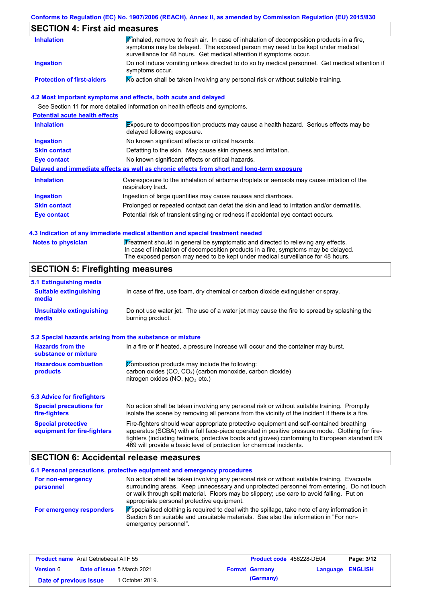## **Conforms to Regulation (EC) No. 1907/2006 (REACH), Annex II, as amended by Commission Regulation (EU) 2015/830**

# **SECTION 4: First aid measures**

| <b>Inhalation</b>                 | Finhaled, remove to fresh air. In case of inhalation of decomposition products in a fire,<br>symptoms may be delayed. The exposed person may need to be kept under medical<br>surveillance for 48 hours. Get medical attention if symptoms occur. |
|-----------------------------------|---------------------------------------------------------------------------------------------------------------------------------------------------------------------------------------------------------------------------------------------------|
| Ingestion                         | Do not induce vomiting unless directed to do so by medical personnel. Get medical attention if<br>symptoms occur.                                                                                                                                 |
| <b>Protection of first-aiders</b> | No action shall be taken involving any personal risk or without suitable training.                                                                                                                                                                |

## **4.2 Most important symptoms and effects, both acute and delayed**

See Section 11 for more detailed information on health effects and symptoms.

| <b>Potential acute health effects</b> |                                                                                                                     |
|---------------------------------------|---------------------------------------------------------------------------------------------------------------------|
| <b>Inhalation</b>                     | Exposure to decomposition products may cause a health hazard. Serious effects may be<br>delayed following exposure. |
| <b>Ingestion</b>                      | No known significant effects or critical hazards.                                                                   |
| <b>Skin contact</b>                   | Defatting to the skin. May cause skin dryness and irritation.                                                       |
| Eye contact                           | No known significant effects or critical hazards.                                                                   |
|                                       | Delayed and immediate effects as well as chronic effects from short and long-term exposure                          |
| <b>Inhalation</b>                     | Overexposure to the inhalation of airborne droplets or aerosols may cause irritation of the<br>respiratory tract.   |
| <b>Ingestion</b>                      | Ingestion of large quantities may cause nausea and diarrhoea.                                                       |
| <b>Skin contact</b>                   | Prolonged or repeated contact can defat the skin and lead to irritation and/or dermatitis.                          |
| Eye contact                           | Potential risk of transient stinging or redness if accidental eye contact occurs.                                   |
|                                       |                                                                                                                     |

### **4.3 Indication of any immediate medical attention and special treatment needed**

| Notes to physician | Treatment should in general be symptomatic and directed to relieving any effects.<br>In case of inhalation of decomposition products in a fire, symptoms may be delayed. |
|--------------------|--------------------------------------------------------------------------------------------------------------------------------------------------------------------------|
|                    | The exposed person may need to be kept under medical surveillance for 48 hours.                                                                                          |

# **SECTION 5: Firefighting measures**

| 5.1 Extinguishing media                                   |                                                                                                                                                                                                                                                                                                                                                                   |
|-----------------------------------------------------------|-------------------------------------------------------------------------------------------------------------------------------------------------------------------------------------------------------------------------------------------------------------------------------------------------------------------------------------------------------------------|
| <b>Suitable extinguishing</b><br>media                    | In case of fire, use foam, dry chemical or carbon dioxide extinguisher or spray.                                                                                                                                                                                                                                                                                  |
| <b>Unsuitable extinguishing</b><br>media                  | Do not use water jet. The use of a water jet may cause the fire to spread by splashing the<br>burning product.                                                                                                                                                                                                                                                    |
| 5.2 Special hazards arising from the substance or mixture |                                                                                                                                                                                                                                                                                                                                                                   |
| <b>Hazards from the</b><br>substance or mixture           | In a fire or if heated, a pressure increase will occur and the container may burst.                                                                                                                                                                                                                                                                               |
| <b>Hazardous combustion</b><br>products                   | Combustion products may include the following:<br>carbon oxides $(CO, CO2)$ (carbon monoxide, carbon dioxide)<br>nitrogen oxides (NO, $NO2$ etc.)                                                                                                                                                                                                                 |
| 5.3 Advice for firefighters                               |                                                                                                                                                                                                                                                                                                                                                                   |
| <b>Special precautions for</b><br>fire-fighters           | No action shall be taken involving any personal risk or without suitable training. Promptly<br>isolate the scene by removing all persons from the vicinity of the incident if there is a fire.                                                                                                                                                                    |
| <b>Special protective</b><br>equipment for fire-fighters  | Fire-fighters should wear appropriate protective equipment and self-contained breathing<br>apparatus (SCBA) with a full face-piece operated in positive pressure mode. Clothing for fire-<br>fighters (including helmets, protective boots and gloves) conforming to European standard EN<br>469 will provide a basic level of protection for chemical incidents. |

# **SECTION 6: Accidental release measures**

|                                | 6.1 Personal precautions, protective equipment and emergency procedures                                                                                                                                                                                                                                                             |
|--------------------------------|-------------------------------------------------------------------------------------------------------------------------------------------------------------------------------------------------------------------------------------------------------------------------------------------------------------------------------------|
| For non-emergency<br>personnel | No action shall be taken involving any personal risk or without suitable training. Evacuate<br>surrounding areas. Keep unnecessary and unprotected personnel from entering. Do not touch<br>or walk through spilt material. Floors may be slippery; use care to avoid falling. Put on<br>appropriate personal protective equipment. |
| For emergency responders       | K specialised clothing is required to deal with the spillage, take note of any information in<br>Section 8 on suitable and unsuitable materials. See also the information in "For non-<br>emergency personnel".                                                                                                                     |

| <b>Product name</b> Aral Getriebeoel ATF 55 |  |                                   | <b>Product code</b> 456228-DE04 |                  | Page: 3/12 |
|---------------------------------------------|--|-----------------------------------|---------------------------------|------------------|------------|
| <b>Version 6</b>                            |  | <b>Date of issue 5 March 2021</b> | <b>Format Germany</b>           | Language ENGLISH |            |
| Date of previous issue                      |  | 1 October 2019.                   | (Germany)                       |                  |            |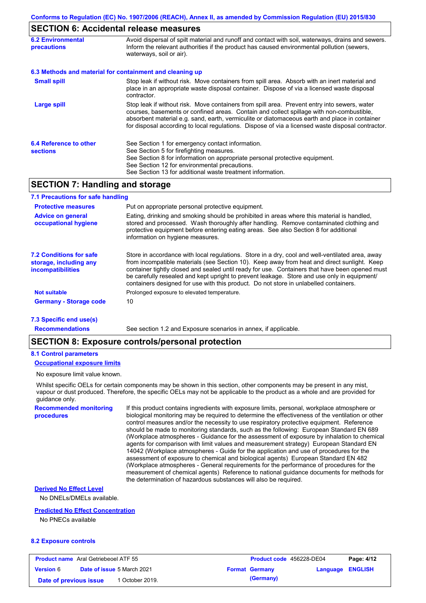# **SECTION 6: Accidental release measures**

| <b>6.2 Environmental</b><br>precautions   | Avoid dispersal of spilt material and runoff and contact with soil, waterways, drains and sewers.<br>Inform the relevant authorities if the product has caused environmental pollution (sewers,<br>waterways, soil or air).                                                                                                                                                                    |  |  |  |
|-------------------------------------------|------------------------------------------------------------------------------------------------------------------------------------------------------------------------------------------------------------------------------------------------------------------------------------------------------------------------------------------------------------------------------------------------|--|--|--|
|                                           | 6.3 Methods and material for containment and cleaning up                                                                                                                                                                                                                                                                                                                                       |  |  |  |
| <b>Small spill</b>                        | Stop leak if without risk. Move containers from spill area. Absorb with an inert material and<br>place in an appropriate waste disposal container. Dispose of via a licensed waste disposal<br>contractor.                                                                                                                                                                                     |  |  |  |
| <b>Large spill</b>                        | Stop leak if without risk. Move containers from spill area. Prevent entry into sewers, water<br>courses, basements or confined areas. Contain and collect spillage with non-combustible,<br>absorbent material e.g. sand, earth, vermiculite or diatomaceous earth and place in container<br>for disposal according to local regulations. Dispose of via a licensed waste disposal contractor. |  |  |  |
| 6.4 Reference to other<br><b>sections</b> | See Section 1 for emergency contact information.<br>See Section 5 for firefighting measures.<br>See Section 8 for information on appropriate personal protective equipment.<br>See Section 12 for environmental precautions.<br>See Section 13 for additional waste treatment information.                                                                                                     |  |  |  |

# **SECTION 7: Handling and storage**

| 7.1 Precautions for safe handling                                                    |                                                                                                                                                                                                                                                                                                                                                                                                                                                                                          |
|--------------------------------------------------------------------------------------|------------------------------------------------------------------------------------------------------------------------------------------------------------------------------------------------------------------------------------------------------------------------------------------------------------------------------------------------------------------------------------------------------------------------------------------------------------------------------------------|
| <b>Protective measures</b>                                                           | Put on appropriate personal protective equipment.                                                                                                                                                                                                                                                                                                                                                                                                                                        |
| <b>Advice on general</b><br>occupational hygiene                                     | Eating, drinking and smoking should be prohibited in areas where this material is handled.<br>stored and processed. Wash thoroughly after handling. Remove contaminated clothing and<br>protective equipment before entering eating areas. See also Section 8 for additional<br>information on hygiene measures.                                                                                                                                                                         |
| <b>7.2 Conditions for safe</b><br>storage, including any<br><b>incompatibilities</b> | Store in accordance with local requiations. Store in a dry, cool and well-ventilated area, away<br>from incompatible materials (see Section 10). Keep away from heat and direct sunlight. Keep<br>container tightly closed and sealed until ready for use. Containers that have been opened must<br>be carefully resealed and kept upright to prevent leakage. Store and use only in equipment/<br>containers designed for use with this product. Do not store in unlabelled containers. |
| <b>Not suitable</b>                                                                  | Prolonged exposure to elevated temperature.                                                                                                                                                                                                                                                                                                                                                                                                                                              |
| <b>Germany - Storage code</b>                                                        | 10                                                                                                                                                                                                                                                                                                                                                                                                                                                                                       |
|                                                                                      |                                                                                                                                                                                                                                                                                                                                                                                                                                                                                          |

### **7.3 Specific end use(s)**

**Recommendations**

See section 1.2 and Exposure scenarios in annex, if applicable.

## **SECTION 8: Exposure controls/personal protection**

#### **8.1 Control parameters**

### **Occupational exposure limits**

No exposure limit value known.

Whilst specific OELs for certain components may be shown in this section, other components may be present in any mist, vapour or dust produced. Therefore, the specific OELs may not be applicable to the product as a whole and are provided for guidance only.

**Recommended monitoring procedures**

If this product contains ingredients with exposure limits, personal, workplace atmosphere or biological monitoring may be required to determine the effectiveness of the ventilation or other control measures and/or the necessity to use respiratory protective equipment. Reference should be made to monitoring standards, such as the following: European Standard EN 689 (Workplace atmospheres - Guidance for the assessment of exposure by inhalation to chemical agents for comparison with limit values and measurement strategy) European Standard EN 14042 (Workplace atmospheres - Guide for the application and use of procedures for the assessment of exposure to chemical and biological agents) European Standard EN 482 (Workplace atmospheres - General requirements for the performance of procedures for the measurement of chemical agents) Reference to national guidance documents for methods for the determination of hazardous substances will also be required.

#### **Derived No Effect Level**

No DNELs/DMELs available.

### **Predicted No Effect Concentration**

No PNECs available

#### **8.2 Exposure controls**

| <b>Product name</b> Aral Getriebeoel ATF 55 |  |                                   | <b>Product code</b> 456228-DE04 |                       | Page: 4/12              |  |
|---------------------------------------------|--|-----------------------------------|---------------------------------|-----------------------|-------------------------|--|
| <b>Version 6</b>                            |  | <b>Date of issue 5 March 2021</b> |                                 | <b>Format Germany</b> | <b>Language ENGLISH</b> |  |
| Date of previous issue                      |  | <sup>1</sup> October 2019.        |                                 | (Germany)             |                         |  |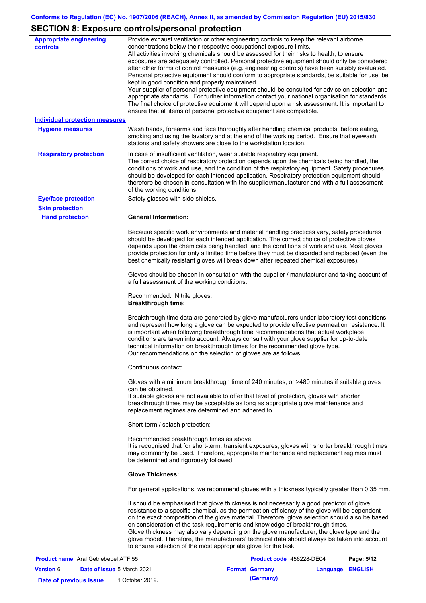# **SECTION 8: Exposure controls/personal protection**

| <b>Appropriate engineering</b><br>controls | Provide exhaust ventilation or other engineering controls to keep the relevant airborne<br>concentrations below their respective occupational exposure limits.<br>All activities involving chemicals should be assessed for their risks to health, to ensure<br>exposures are adequately controlled. Personal protective equipment should only be considered<br>after other forms of control measures (e.g. engineering controls) have been suitably evaluated.<br>Personal protective equipment should conform to appropriate standards, be suitable for use, be<br>kept in good condition and properly maintained.<br>Your supplier of personal protective equipment should be consulted for advice on selection and<br>appropriate standards. For further information contact your national organisation for standards.<br>The final choice of protective equipment will depend upon a risk assessment. It is important to<br>ensure that all items of personal protective equipment are compatible. |
|--------------------------------------------|---------------------------------------------------------------------------------------------------------------------------------------------------------------------------------------------------------------------------------------------------------------------------------------------------------------------------------------------------------------------------------------------------------------------------------------------------------------------------------------------------------------------------------------------------------------------------------------------------------------------------------------------------------------------------------------------------------------------------------------------------------------------------------------------------------------------------------------------------------------------------------------------------------------------------------------------------------------------------------------------------------|
| <b>Individual protection measures</b>      |                                                                                                                                                                                                                                                                                                                                                                                                                                                                                                                                                                                                                                                                                                                                                                                                                                                                                                                                                                                                         |
| <b>Hygiene measures</b>                    | Wash hands, forearms and face thoroughly after handling chemical products, before eating,<br>smoking and using the lavatory and at the end of the working period. Ensure that eyewash<br>stations and safety showers are close to the workstation location.                                                                                                                                                                                                                                                                                                                                                                                                                                                                                                                                                                                                                                                                                                                                             |
| <b>Respiratory protection</b>              | In case of insufficient ventilation, wear suitable respiratory equipment.<br>The correct choice of respiratory protection depends upon the chemicals being handled, the<br>conditions of work and use, and the condition of the respiratory equipment. Safety procedures<br>should be developed for each intended application. Respiratory protection equipment should<br>therefore be chosen in consultation with the supplier/manufacturer and with a full assessment<br>of the working conditions.                                                                                                                                                                                                                                                                                                                                                                                                                                                                                                   |
| <b>Eye/face protection</b>                 | Safety glasses with side shields.                                                                                                                                                                                                                                                                                                                                                                                                                                                                                                                                                                                                                                                                                                                                                                                                                                                                                                                                                                       |
| <b>Skin protection</b>                     |                                                                                                                                                                                                                                                                                                                                                                                                                                                                                                                                                                                                                                                                                                                                                                                                                                                                                                                                                                                                         |
| <b>Hand protection</b>                     | <b>General Information:</b>                                                                                                                                                                                                                                                                                                                                                                                                                                                                                                                                                                                                                                                                                                                                                                                                                                                                                                                                                                             |
|                                            | Because specific work environments and material handling practices vary, safety procedures<br>should be developed for each intended application. The correct choice of protective gloves<br>depends upon the chemicals being handled, and the conditions of work and use. Most gloves<br>provide protection for only a limited time before they must be discarded and replaced (even the<br>best chemically resistant gloves will break down after repeated chemical exposures).                                                                                                                                                                                                                                                                                                                                                                                                                                                                                                                        |
|                                            | Gloves should be chosen in consultation with the supplier / manufacturer and taking account of<br>a full assessment of the working conditions.                                                                                                                                                                                                                                                                                                                                                                                                                                                                                                                                                                                                                                                                                                                                                                                                                                                          |
|                                            | Recommended: Nitrile gloves.<br><b>Breakthrough time:</b>                                                                                                                                                                                                                                                                                                                                                                                                                                                                                                                                                                                                                                                                                                                                                                                                                                                                                                                                               |
|                                            | Breakthrough time data are generated by glove manufacturers under laboratory test conditions<br>and represent how long a glove can be expected to provide effective permeation resistance. It<br>is important when following breakthrough time recommendations that actual workplace<br>conditions are taken into account. Always consult with your glove supplier for up-to-date<br>technical information on breakthrough times for the recommended glove type.<br>Our recommendations on the selection of gloves are as follows:                                                                                                                                                                                                                                                                                                                                                                                                                                                                      |
|                                            | Continuous contact:                                                                                                                                                                                                                                                                                                                                                                                                                                                                                                                                                                                                                                                                                                                                                                                                                                                                                                                                                                                     |
|                                            | Gloves with a minimum breakthrough time of 240 minutes, or >480 minutes if suitable gloves<br>can be obtained.<br>If suitable gloves are not available to offer that level of protection, gloves with shorter<br>breakthrough times may be acceptable as long as appropriate glove maintenance and<br>replacement regimes are determined and adhered to.                                                                                                                                                                                                                                                                                                                                                                                                                                                                                                                                                                                                                                                |
|                                            | Short-term / splash protection:                                                                                                                                                                                                                                                                                                                                                                                                                                                                                                                                                                                                                                                                                                                                                                                                                                                                                                                                                                         |
|                                            | Recommended breakthrough times as above.<br>It is recognised that for short-term, transient exposures, gloves with shorter breakthrough times<br>may commonly be used. Therefore, appropriate maintenance and replacement regimes must<br>be determined and rigorously followed.                                                                                                                                                                                                                                                                                                                                                                                                                                                                                                                                                                                                                                                                                                                        |
|                                            | <b>Glove Thickness:</b>                                                                                                                                                                                                                                                                                                                                                                                                                                                                                                                                                                                                                                                                                                                                                                                                                                                                                                                                                                                 |
|                                            | For general applications, we recommend gloves with a thickness typically greater than 0.35 mm.                                                                                                                                                                                                                                                                                                                                                                                                                                                                                                                                                                                                                                                                                                                                                                                                                                                                                                          |
|                                            | It should be emphasised that glove thickness is not necessarily a good predictor of glove<br>resistance to a specific chemical, as the permeation efficiency of the glove will be dependent<br>on the exact composition of the glove material. Therefore, glove selection should also be based<br>on consideration of the task requirements and knowledge of breakthrough times.<br>Glove thickness may also vary depending on the glove manufacturer, the glove type and the<br>glove model. Therefore, the manufacturers' technical data should always be taken into account<br>to ensure selection of the most appropriate glove for the task.                                                                                                                                                                                                                                                                                                                                                       |

| <b>Product name</b> Aral Getriebeoel ATF 55 |  |                                   | Product code 456228-DE04 |                       | Page: 5/12       |  |
|---------------------------------------------|--|-----------------------------------|--------------------------|-----------------------|------------------|--|
| <b>Version</b> 6                            |  | <b>Date of issue 5 March 2021</b> |                          | <b>Format Germany</b> | Language ENGLISH |  |
| Date of previous issue                      |  | 1 October 2019.                   |                          | (Germany)             |                  |  |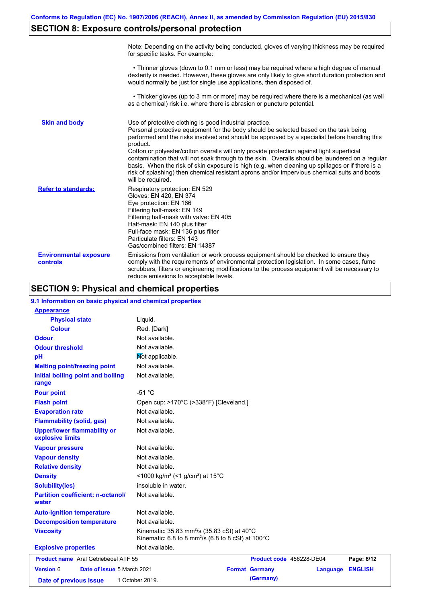# **SECTION 8: Exposure controls/personal protection**

|                                           | Note: Depending on the activity being conducted, gloves of varying thickness may be required<br>for specific tasks. For example:                                                                                                                                                                                                                                                                                                                                                                                                                                                                                                                                                      |
|-------------------------------------------|---------------------------------------------------------------------------------------------------------------------------------------------------------------------------------------------------------------------------------------------------------------------------------------------------------------------------------------------------------------------------------------------------------------------------------------------------------------------------------------------------------------------------------------------------------------------------------------------------------------------------------------------------------------------------------------|
|                                           | • Thinner gloves (down to 0.1 mm or less) may be required where a high degree of manual<br>dexterity is needed. However, these gloves are only likely to give short duration protection and<br>would normally be just for single use applications, then disposed of.                                                                                                                                                                                                                                                                                                                                                                                                                  |
|                                           | • Thicker gloves (up to 3 mm or more) may be required where there is a mechanical (as well<br>as a chemical) risk i.e. where there is abrasion or puncture potential.                                                                                                                                                                                                                                                                                                                                                                                                                                                                                                                 |
| <b>Skin and body</b>                      | Use of protective clothing is good industrial practice.<br>Personal protective equipment for the body should be selected based on the task being<br>performed and the risks involved and should be approved by a specialist before handling this<br>product.<br>Cotton or polyester/cotton overalls will only provide protection against light superficial<br>contamination that will not soak through to the skin. Overalls should be laundered on a regular<br>basis. When the risk of skin exposure is high (e.g. when cleaning up spillages or if there is a<br>risk of splashing) then chemical resistant aprons and/or impervious chemical suits and boots<br>will be required. |
| <b>Refer to standards:</b>                | Respiratory protection: EN 529<br>Gloves: EN 420, EN 374<br>Eye protection: EN 166<br>Filtering half-mask: EN 149<br>Filtering half-mask with valve: EN 405<br>Half-mask: EN 140 plus filter<br>Full-face mask: EN 136 plus filter<br>Particulate filters: EN 143<br>Gas/combined filters: EN 14387                                                                                                                                                                                                                                                                                                                                                                                   |
| <b>Environmental exposure</b><br>controls | Emissions from ventilation or work process equipment should be checked to ensure they<br>comply with the requirements of environmental protection legislation. In some cases, fume<br>scrubbers, filters or engineering modifications to the process equipment will be necessary to<br>reduce emissions to acceptable levels.                                                                                                                                                                                                                                                                                                                                                         |

# **SECTION 9: Physical and chemical properties**

| 9.1 Information on basic physical and chemical properties |                                                                                                                                     |  |                          |          |                |  |
|-----------------------------------------------------------|-------------------------------------------------------------------------------------------------------------------------------------|--|--------------------------|----------|----------------|--|
| <b>Appearance</b>                                         |                                                                                                                                     |  |                          |          |                |  |
| <b>Physical state</b>                                     | Liquid.                                                                                                                             |  |                          |          |                |  |
| <b>Colour</b>                                             | Red. [Dark]                                                                                                                         |  |                          |          |                |  |
| <b>Odour</b>                                              | Not available.                                                                                                                      |  |                          |          |                |  |
| <b>Odour threshold</b>                                    | Not available.                                                                                                                      |  |                          |          |                |  |
| pH                                                        | Mot applicable.                                                                                                                     |  |                          |          |                |  |
| <b>Melting point/freezing point</b>                       | Not available.                                                                                                                      |  |                          |          |                |  |
| Initial boiling point and boiling<br>range                | Not available.                                                                                                                      |  |                          |          |                |  |
| <b>Pour point</b>                                         | $-51 °C$                                                                                                                            |  |                          |          |                |  |
| <b>Flash point</b>                                        | Open cup: >170°C (>338°F) [Cleveland.]                                                                                              |  |                          |          |                |  |
| <b>Evaporation rate</b>                                   | Not available.                                                                                                                      |  |                          |          |                |  |
| <b>Flammability (solid, gas)</b>                          | Not available.                                                                                                                      |  |                          |          |                |  |
| <b>Upper/lower flammability or</b><br>explosive limits    | Not available.                                                                                                                      |  |                          |          |                |  |
| <b>Vapour pressure</b>                                    | Not available.                                                                                                                      |  |                          |          |                |  |
| <b>Vapour density</b>                                     | Not available.                                                                                                                      |  |                          |          |                |  |
| <b>Relative density</b>                                   | Not available.                                                                                                                      |  |                          |          |                |  |
| <b>Density</b>                                            | <1000 kg/m <sup>3</sup> (<1 g/cm <sup>3</sup> ) at 15 <sup>°</sup> C                                                                |  |                          |          |                |  |
| <b>Solubility(ies)</b>                                    | insoluble in water.                                                                                                                 |  |                          |          |                |  |
| <b>Partition coefficient: n-octanol/</b><br>water         | Not available.                                                                                                                      |  |                          |          |                |  |
| <b>Auto-ignition temperature</b>                          | Not available.                                                                                                                      |  |                          |          |                |  |
| <b>Decomposition temperature</b>                          | Not available.                                                                                                                      |  |                          |          |                |  |
| <b>Viscosity</b>                                          | Kinematic: 35.83 mm <sup>2</sup> /s (35.83 cSt) at 40°C<br>Kinematic: 6.8 to 8 mm <sup>2</sup> /s (6.8 to 8 cSt) at $100^{\circ}$ C |  |                          |          |                |  |
| <b>Explosive properties</b>                               | Not available.                                                                                                                      |  |                          |          |                |  |
| <b>Product name</b> Aral Getriebeoel ATF 55               |                                                                                                                                     |  | Product code 456228-DE04 |          | Page: 6/12     |  |
| Version 6<br>Date of issue 5 March 2021                   |                                                                                                                                     |  | <b>Format Germany</b>    | Language | <b>ENGLISH</b> |  |
| Date of previous issue                                    | 1 October 2019.                                                                                                                     |  | (Germany)                |          |                |  |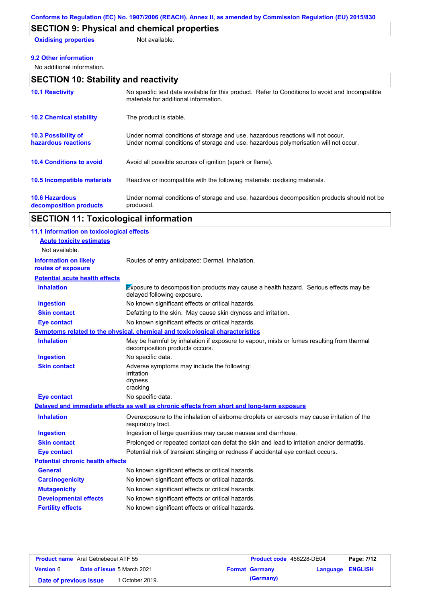# **SECTION 9: Physical and chemical properties**

**Oxidising properties** Not available.

### **9.2 Other information**

No additional information.

| <b>SECTION 10: Stability and reactivity</b>       |                                                                                                                                                                         |  |  |
|---------------------------------------------------|-------------------------------------------------------------------------------------------------------------------------------------------------------------------------|--|--|
| <b>10.1 Reactivity</b>                            | No specific test data available for this product. Refer to Conditions to avoid and Incompatible<br>materials for additional information.                                |  |  |
| <b>10.2 Chemical stability</b>                    | The product is stable.                                                                                                                                                  |  |  |
| <b>10.3 Possibility of</b><br>hazardous reactions | Under normal conditions of storage and use, hazardous reactions will not occur.<br>Under normal conditions of storage and use, hazardous polymerisation will not occur. |  |  |
| <b>10.4 Conditions to avoid</b>                   | Avoid all possible sources of ignition (spark or flame).                                                                                                                |  |  |
| 10.5 Incompatible materials                       | Reactive or incompatible with the following materials: oxidising materials.                                                                                             |  |  |
| <b>10.6 Hazardous</b><br>decomposition products   | Under normal conditions of storage and use, hazardous decomposition products should not be<br>produced.                                                                 |  |  |

# **SECTION 11: Toxicological information**

| 11.1 Information on toxicological effects          |                                                                                                                             |
|----------------------------------------------------|-----------------------------------------------------------------------------------------------------------------------------|
| <b>Acute toxicity estimates</b>                    |                                                                                                                             |
| Not available.                                     |                                                                                                                             |
| <b>Information on likely</b><br>routes of exposure | Routes of entry anticipated: Dermal, Inhalation.                                                                            |
| <b>Potential acute health effects</b>              |                                                                                                                             |
| <b>Inhalation</b>                                  | <b>Exposure to decomposition products may cause a health hazard. Serious effects may be</b><br>delayed following exposure.  |
| <b>Ingestion</b>                                   | No known significant effects or critical hazards.                                                                           |
| <b>Skin contact</b>                                | Defatting to the skin. May cause skin dryness and irritation.                                                               |
| <b>Eye contact</b>                                 | No known significant effects or critical hazards.                                                                           |
|                                                    | Symptoms related to the physical, chemical and toxicological characteristics                                                |
| <b>Inhalation</b>                                  | May be harmful by inhalation if exposure to vapour, mists or fumes resulting from thermal<br>decomposition products occurs. |
| <b>Ingestion</b>                                   | No specific data.                                                                                                           |
| <b>Skin contact</b>                                | Adverse symptoms may include the following:<br>irritation<br>dryness<br>cracking                                            |
| <b>Eye contact</b>                                 | No specific data.                                                                                                           |
|                                                    | Delayed and immediate effects as well as chronic effects from short and long-term exposure                                  |
| <b>Inhalation</b>                                  | Overexposure to the inhalation of airborne droplets or aerosols may cause irritation of the<br>respiratory tract.           |
| <b>Ingestion</b>                                   | Ingestion of large quantities may cause nausea and diarrhoea.                                                               |
| <b>Skin contact</b>                                | Prolonged or repeated contact can defat the skin and lead to irritation and/or dermatitis.                                  |
| <b>Eye contact</b>                                 | Potential risk of transient stinging or redness if accidental eye contact occurs.                                           |
| <b>Potential chronic health effects</b>            |                                                                                                                             |
| <b>General</b>                                     | No known significant effects or critical hazards.                                                                           |
| <b>Carcinogenicity</b>                             | No known significant effects or critical hazards.                                                                           |
| <b>Mutagenicity</b>                                | No known significant effects or critical hazards.                                                                           |
| <b>Developmental effects</b>                       | No known significant effects or critical hazards.                                                                           |
| <b>Fertility effects</b>                           | No known significant effects or critical hazards.                                                                           |

| <b>Product name</b> Aral Getriebeoel ATF 55 |  |                                   | <b>Product code</b> 456228-DE04 | Page: 7/12            |                         |  |
|---------------------------------------------|--|-----------------------------------|---------------------------------|-----------------------|-------------------------|--|
| <b>Version 6</b>                            |  | <b>Date of issue 5 March 2021</b> |                                 | <b>Format Germany</b> | <b>Language ENGLISH</b> |  |
| Date of previous issue                      |  | October 2019.                     |                                 | (Germany)             |                         |  |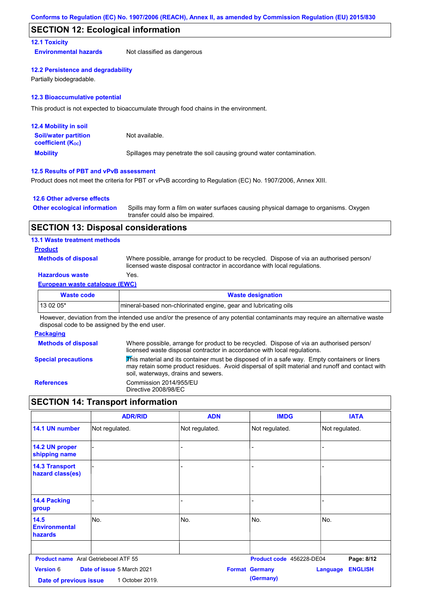## **SECTION 12: Ecological information**

### **12.1 Toxicity**

**Environmental hazards** Not classified as dangerous

#### **12.2 Persistence and degradability**

Partially biodegradable.

### **12.3 Bioaccumulative potential**

This product is not expected to bioaccumulate through food chains in the environment.

| <b>12.4 Mobility in soil</b>                            |                                                                      |  |  |  |
|---------------------------------------------------------|----------------------------------------------------------------------|--|--|--|
| <b>Soil/water partition</b><br><b>coefficient (Koc)</b> | Not available.                                                       |  |  |  |
| <b>Mobility</b>                                         | Spillages may penetrate the soil causing ground water contamination. |  |  |  |

### **12.5 Results of PBT and vPvB assessment**

Product does not meet the criteria for PBT or vPvB according to Regulation (EC) No. 1907/2006, Annex XIII.

### **12.6 Other adverse effects**

| <b>Other ecological information</b> | Spills may form a film on water surfaces causing physical damage to organisms. Oxygen |
|-------------------------------------|---------------------------------------------------------------------------------------|
|                                     | transfer could also be impaired.                                                      |

## **SECTION 13: Disposal considerations**

### **13.1 Waste treatment methods**

**Product**

**Methods of disposal**

Where possible, arrange for product to be recycled. Dispose of via an authorised person/ licensed waste disposal contractor in accordance with local regulations.

## **Hazardous waste** Yes.

### **European waste catalogue (EWC)**

| Waste code | <b>Waste designation</b>                                         |
|------------|------------------------------------------------------------------|
| $130205*$  | Imineral-based non-chlorinated engine, gear and lubricating oils |

However, deviation from the intended use and/or the presence of any potential contaminants may require an alternative waste disposal code to be assigned by the end user.

### **Packaging**

| <b>Methods of disposal</b> | Where possible, arrange for product to be recycled. Dispose of via an authorised person/<br>licensed waste disposal contractor in accordance with local regulations.                                                                    |
|----------------------------|-----------------------------------------------------------------------------------------------------------------------------------------------------------------------------------------------------------------------------------------|
| <b>Special precautions</b> | This material and its container must be disposed of in a safe way. Empty containers or liners<br>may retain some product residues. Avoid dispersal of spilt material and runoff and contact with<br>soil, waterways, drains and sewers. |
| <b>References</b>          | Commission 2014/955/EU<br>Directive 2008/98/EC                                                                                                                                                                                          |

# **SECTION 14: Transport information**

|                                             | <b>ADR/RID</b>             | <b>ADN</b>     | <b>IMDG</b>              | <b>IATA</b>                       |
|---------------------------------------------|----------------------------|----------------|--------------------------|-----------------------------------|
| 14.1 UN number                              | Not regulated.             | Not regulated. | Not regulated.           | Not regulated.                    |
| 14.2 UN proper<br>shipping name             |                            | L,             |                          |                                   |
| <b>14.3 Transport</b><br>hazard class(es)   |                            |                |                          |                                   |
| 14.4 Packing<br>group                       |                            |                |                          |                                   |
| 14.5<br><b>Environmental</b><br>hazards     | lNo.                       | No.            | No.                      | INo.                              |
| <b>Product name</b> Aral Getriebeoel ATF 55 |                            |                | Product code 456228-DE04 | Page: 8/12                        |
| <b>Version 6</b>                            | Date of issue 5 March 2021 |                | <b>Format Germany</b>    | <b>ENGLISH</b><br><b>Language</b> |
| Date of previous issue                      | 1 October 2019.            |                | (Germany)                |                                   |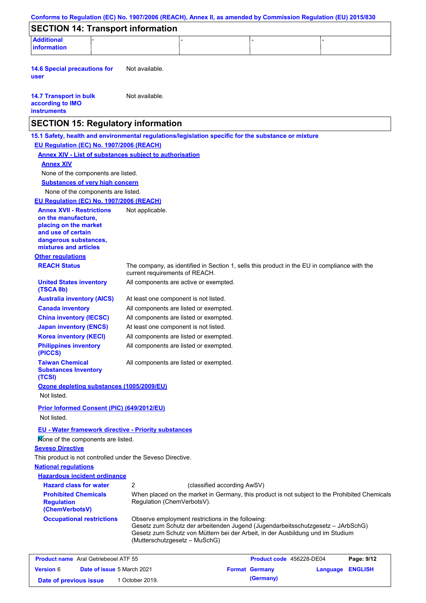| Conforms to Regulation (EC) No. 1907/2006 (REACH), Annex II, as amended by Commission Regulation (EU) 2015/830 |                                        |                               |                                                                                                                                                                                                                        |          |                              |
|----------------------------------------------------------------------------------------------------------------|----------------------------------------|-------------------------------|------------------------------------------------------------------------------------------------------------------------------------------------------------------------------------------------------------------------|----------|------------------------------|
| <b>SECTION 14: Transport information</b>                                                                       |                                        |                               |                                                                                                                                                                                                                        |          |                              |
| <b>Additional</b><br>information                                                                               |                                        |                               |                                                                                                                                                                                                                        |          |                              |
|                                                                                                                |                                        |                               |                                                                                                                                                                                                                        |          |                              |
| <b>14.6 Special precautions for</b><br>user                                                                    | Not available.                         |                               |                                                                                                                                                                                                                        |          |                              |
| <b>14.7 Transport in bulk</b><br>according to IMO<br><b>instruments</b>                                        | Not available.                         |                               |                                                                                                                                                                                                                        |          |                              |
| <b>SECTION 15: Regulatory information</b>                                                                      |                                        |                               |                                                                                                                                                                                                                        |          |                              |
| 15.1 Safety, health and environmental regulations/legislation specific for the substance or mixture            |                                        |                               |                                                                                                                                                                                                                        |          |                              |
| EU Regulation (EC) No. 1907/2006 (REACH)                                                                       |                                        |                               |                                                                                                                                                                                                                        |          |                              |
| <b>Annex XIV - List of substances subject to authorisation</b>                                                 |                                        |                               |                                                                                                                                                                                                                        |          |                              |
| <b>Annex XIV</b>                                                                                               |                                        |                               |                                                                                                                                                                                                                        |          |                              |
| None of the components are listed.                                                                             |                                        |                               |                                                                                                                                                                                                                        |          |                              |
| <b>Substances of very high concern</b>                                                                         |                                        |                               |                                                                                                                                                                                                                        |          |                              |
| None of the components are listed.                                                                             |                                        |                               |                                                                                                                                                                                                                        |          |                              |
| EU Regulation (EC) No. 1907/2006 (REACH)                                                                       |                                        |                               |                                                                                                                                                                                                                        |          |                              |
| <b>Annex XVII - Restrictions</b>                                                                               | Not applicable.                        |                               |                                                                                                                                                                                                                        |          |                              |
| on the manufacture,                                                                                            |                                        |                               |                                                                                                                                                                                                                        |          |                              |
| placing on the market<br>and use of certain                                                                    |                                        |                               |                                                                                                                                                                                                                        |          |                              |
| dangerous substances,                                                                                          |                                        |                               |                                                                                                                                                                                                                        |          |                              |
| mixtures and articles                                                                                          |                                        |                               |                                                                                                                                                                                                                        |          |                              |
| <b>Other regulations</b>                                                                                       |                                        |                               |                                                                                                                                                                                                                        |          |                              |
| <b>REACH Status</b>                                                                                            | current requirements of REACH.         |                               | The company, as identified in Section 1, sells this product in the EU in compliance with the                                                                                                                           |          |                              |
| <b>United States inventory</b><br>(TSCA 8b)                                                                    | All components are active or exempted. |                               |                                                                                                                                                                                                                        |          |                              |
| <b>Australia inventory (AICS)</b>                                                                              | At least one component is not listed.  |                               |                                                                                                                                                                                                                        |          |                              |
| <b>Canada inventory</b>                                                                                        | All components are listed or exempted. |                               |                                                                                                                                                                                                                        |          |                              |
| <b>China inventory (IECSC)</b>                                                                                 | All components are listed or exempted. |                               |                                                                                                                                                                                                                        |          |                              |
| <b>Japan inventory (ENCS)</b>                                                                                  | At least one component is not listed.  |                               |                                                                                                                                                                                                                        |          |                              |
| <b>Korea inventory (KECI)</b>                                                                                  | All components are listed or exempted. |                               |                                                                                                                                                                                                                        |          |                              |
| <b>Philippines inventory</b><br>(PICCS)                                                                        | All components are listed or exempted. |                               |                                                                                                                                                                                                                        |          |                              |
| <b>Taiwan Chemical</b><br><b>Substances Inventory</b><br>(TCSI)                                                | All components are listed or exempted. |                               |                                                                                                                                                                                                                        |          |                              |
| Ozone depleting substances (1005/2009/EU)<br>Not listed.                                                       |                                        |                               |                                                                                                                                                                                                                        |          |                              |
|                                                                                                                |                                        |                               |                                                                                                                                                                                                                        |          |                              |
| Prior Informed Consent (PIC) (649/2012/EU)<br>Not listed.                                                      |                                        |                               |                                                                                                                                                                                                                        |          |                              |
|                                                                                                                |                                        |                               |                                                                                                                                                                                                                        |          |                              |
| <b>EU - Water framework directive - Priority substances</b>                                                    |                                        |                               |                                                                                                                                                                                                                        |          |                              |
| Mone of the components are listed.                                                                             |                                        |                               |                                                                                                                                                                                                                        |          |                              |
| <b>Seveso Directive</b>                                                                                        |                                        |                               |                                                                                                                                                                                                                        |          |                              |
| This product is not controlled under the Seveso Directive.                                                     |                                        |                               |                                                                                                                                                                                                                        |          |                              |
| <b>National requlations</b>                                                                                    |                                        |                               |                                                                                                                                                                                                                        |          |                              |
| <b>Hazardous incident ordinance</b>                                                                            |                                        |                               |                                                                                                                                                                                                                        |          |                              |
| <b>Hazard class for water</b>                                                                                  | 2                                      |                               | (classified according AwSV)                                                                                                                                                                                            |          |                              |
| <b>Prohibited Chemicals</b><br><b>Regulation</b><br>(ChemVerbotsV)                                             | Regulation (ChemVerbotsV).             |                               | When placed on the market in Germany, this product is not subject to the Prohibited Chemicals                                                                                                                          |          |                              |
| <b>Occupational restrictions</b>                                                                               |                                        | (Mutterschutzgesetz - MuSchG) | Observe employment restrictions in the following:<br>Gesetz zum Schutz der arbeitenden Jugend (Jugendarbeitsschutzgesetz - JArbSchG)<br>Gesetz zum Schutz von Müttern bei der Arbeit, in der Ausbildung und im Studium |          |                              |
|                                                                                                                |                                        |                               |                                                                                                                                                                                                                        |          |                              |
| <b>Product name</b> Aral Getriebeoel ATF 55<br>Date of issue 5 March 2021<br><b>Version 6</b>                  |                                        |                               | Product code 456228-DE04<br><b>Format Germany</b>                                                                                                                                                                      | Language | Page: 9/12<br><b>ENGLISH</b> |
|                                                                                                                |                                        |                               |                                                                                                                                                                                                                        |          |                              |

**Date of previous issue 1 October 2019. (Germany)**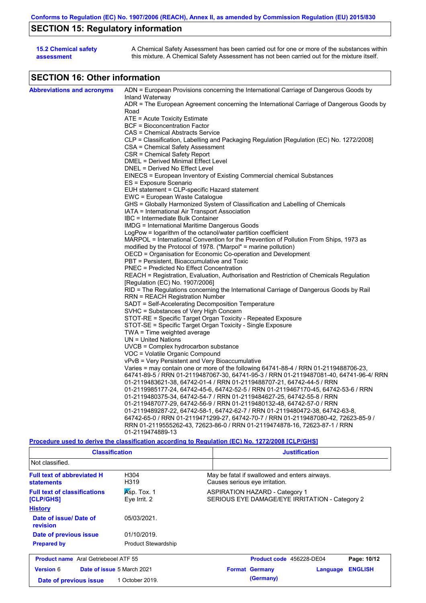# **SECTION 15: Regulatory information**

| <b>15.2 Chemical safety</b> | A Chemical Safety Assessment has been carried out for one or more of the substances within  |
|-----------------------------|---------------------------------------------------------------------------------------------|
| assessment                  | this mixture. A Chemical Safety Assessment has not been carried out for the mixture itself. |

# **SECTION 16: Other information**

| <b>Abbreviations and acronyms</b> | ADN = European Provisions concerning the International Carriage of Dangerous Goods by<br>Inland Waterway                  |
|-----------------------------------|---------------------------------------------------------------------------------------------------------------------------|
|                                   | ADR = The European Agreement concerning the International Carriage of Dangerous Goods by                                  |
|                                   | Road                                                                                                                      |
|                                   | $ATE = Acute Toxicity Estimate$                                                                                           |
|                                   | <b>BCF</b> = Bioconcentration Factor                                                                                      |
|                                   | CAS = Chemical Abstracts Service                                                                                          |
|                                   | CLP = Classification, Labelling and Packaging Regulation [Regulation (EC) No. 1272/2008]                                  |
|                                   | CSA = Chemical Safety Assessment                                                                                          |
|                                   | CSR = Chemical Safety Report                                                                                              |
|                                   | DMEL = Derived Minimal Effect Level                                                                                       |
|                                   | DNEL = Derived No Effect Level                                                                                            |
|                                   | EINECS = European Inventory of Existing Commercial chemical Substances                                                    |
|                                   | ES = Exposure Scenario                                                                                                    |
|                                   | EUH statement = CLP-specific Hazard statement                                                                             |
|                                   | EWC = European Waste Catalogue                                                                                            |
|                                   | GHS = Globally Harmonized System of Classification and Labelling of Chemicals                                             |
|                                   | IATA = International Air Transport Association                                                                            |
|                                   | IBC = Intermediate Bulk Container                                                                                         |
|                                   | IMDG = International Maritime Dangerous Goods                                                                             |
|                                   | LogPow = logarithm of the octanol/water partition coefficient                                                             |
|                                   | MARPOL = International Convention for the Prevention of Pollution From Ships, 1973 as                                     |
|                                   | modified by the Protocol of 1978. ("Marpol" = marine pollution)                                                           |
|                                   |                                                                                                                           |
|                                   | OECD = Organisation for Economic Co-operation and Development<br>PBT = Persistent, Bioaccumulative and Toxic              |
|                                   | <b>PNEC = Predicted No Effect Concentration</b>                                                                           |
|                                   |                                                                                                                           |
|                                   | REACH = Registration, Evaluation, Authorisation and Restriction of Chemicals Regulation                                   |
|                                   | [Regulation (EC) No. 1907/2006]<br>RID = The Regulations concerning the International Carriage of Dangerous Goods by Rail |
|                                   |                                                                                                                           |
|                                   | RRN = REACH Registration Number                                                                                           |
|                                   | SADT = Self-Accelerating Decomposition Temperature                                                                        |
|                                   | SVHC = Substances of Very High Concern                                                                                    |
|                                   | STOT-RE = Specific Target Organ Toxicity - Repeated Exposure                                                              |
|                                   | STOT-SE = Specific Target Organ Toxicity - Single Exposure                                                                |
|                                   | TWA = Time weighted average                                                                                               |
|                                   | $UN = United Nations$                                                                                                     |
|                                   | $UVCB = Complex\;hydrocarbon\; substance$                                                                                 |
|                                   | VOC = Volatile Organic Compound                                                                                           |
|                                   | vPvB = Very Persistent and Very Bioaccumulative                                                                           |
|                                   | Varies = may contain one or more of the following 64741-88-4 / RRN 01-2119488706-23,                                      |
|                                   | 64741-89-5 / RRN 01-2119487067-30, 64741-95-3 / RRN 01-2119487081-40, 64741-96-4/ RRN                                     |
|                                   | 01-2119483621-38, 64742-01-4 / RRN 01-2119488707-21, 64742-44-5 / RRN                                                     |
|                                   | 01-2119985177-24, 64742-45-6, 64742-52-5 / RRN 01-2119467170-45, 64742-53-6 / RRN                                         |
|                                   | 01-2119480375-34, 64742-54-7 / RRN 01-2119484627-25, 64742-55-8 / RRN                                                     |
|                                   | 01-2119487077-29, 64742-56-9 / RRN 01-2119480132-48, 64742-57-0 / RRN                                                     |
|                                   | 01-2119489287-22, 64742-58-1, 64742-62-7 / RRN 01-2119480472-38, 64742-63-8,                                              |
|                                   | 64742-65-0 / RRN 01-2119471299-27, 64742-70-7 / RRN 01-2119487080-42, 72623-85-9 /                                        |
|                                   | RRN 01-2119555262-43, 72623-86-0 / RRN 01-2119474878-16, 72623-87-1 / RRN                                                 |
|                                   | 01-2119474889-13                                                                                                          |
|                                   |                                                                                                                           |

### **Procedure used to derive the classification according to Regulation (EC) No. 1272/2008 [CLP/GHS]**

| <b>Classification</b>                                  |                             | <b>Justification</b>                                                                    |
|--------------------------------------------------------|-----------------------------|-----------------------------------------------------------------------------------------|
| Not classified.                                        |                             |                                                                                         |
| <b>Full text of abbreviated H</b><br><b>statements</b> | H <sub>304</sub><br>H319    | May be fatal if swallowed and enters airways.<br>Causes serious eye irritation.         |
| <b>Full text of classifications</b><br>[CLP/GHS]       | Asp. Tox. 1<br>Eye Irrit. 2 | <b>ASPIRATION HAZARD - Category 1</b><br>SERIOUS EYE DAMAGE/EYE IRRITATION - Category 2 |
| <b>History</b>                                         |                             |                                                                                         |
| Date of issue/Date of<br>revision                      | 05/03/2021.                 |                                                                                         |
| Date of previous issue                                 | 01/10/2019.                 |                                                                                         |
| <b>Prepared by</b>                                     | <b>Product Stewardship</b>  |                                                                                         |
| <b>Product name</b> Aral Getriebeoel ATF 55            |                             | Product code 456228-DE04<br>Page: 10/12                                                 |
| <b>Version 6</b>                                       | Date of issue 5 March 2021  | <b>ENGLISH</b><br><b>Format Germany</b><br>Language                                     |
| Date of previous issue                                 | 1 October 2019.             | (Germany)                                                                               |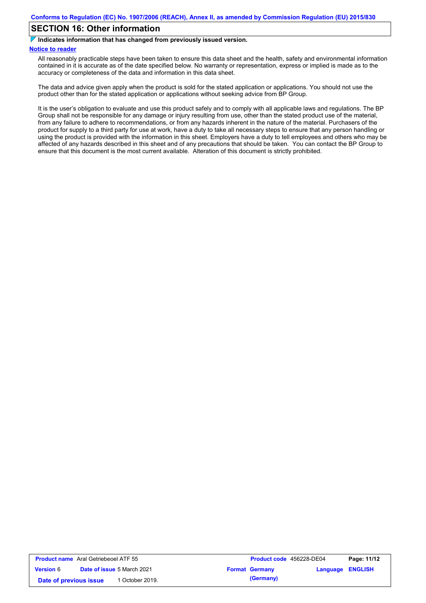# **SECTION 16: Other information**

**Indicates information that has changed from previously issued version.**

#### **Notice to reader**

All reasonably practicable steps have been taken to ensure this data sheet and the health, safety and environmental information contained in it is accurate as of the date specified below. No warranty or representation, express or implied is made as to the accuracy or completeness of the data and information in this data sheet.

The data and advice given apply when the product is sold for the stated application or applications. You should not use the product other than for the stated application or applications without seeking advice from BP Group.

It is the user's obligation to evaluate and use this product safely and to comply with all applicable laws and regulations. The BP Group shall not be responsible for any damage or injury resulting from use, other than the stated product use of the material, from any failure to adhere to recommendations, or from any hazards inherent in the nature of the material. Purchasers of the product for supply to a third party for use at work, have a duty to take all necessary steps to ensure that any person handling or using the product is provided with the information in this sheet. Employers have a duty to tell employees and others who may be affected of any hazards described in this sheet and of any precautions that should be taken. You can contact the BP Group to ensure that this document is the most current available. Alteration of this document is strictly prohibited.

| <b>Product name</b> Aral Getriebeoel ATF 55 |                                   | Product code 456228-DE04 |                         | Page: 11/12 |
|---------------------------------------------|-----------------------------------|--------------------------|-------------------------|-------------|
| <b>Version 6</b>                            | <b>Date of issue 5 March 2021</b> | <b>Format Germany</b>    | <b>Language ENGLISH</b> |             |
| Date of previous issue                      | October 2019.                     | (Germany)                |                         |             |